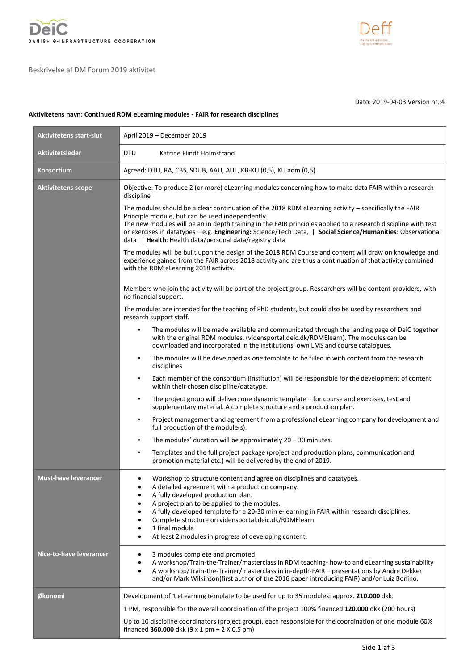

Beskrivelse af DM Forum 2019 aktivitet



Dato: 2019-04-03 Version nr.:4

## **Aktivitetens navn: Continued RDM eLearning modules - FAIR for research disciplines**

| Aktivitetens start-slut     | April 2019 - December 2019                                                                                                                                                                                                                                                                                                                                                                                                                                                                          |  |  |  |  |  |
|-----------------------------|-----------------------------------------------------------------------------------------------------------------------------------------------------------------------------------------------------------------------------------------------------------------------------------------------------------------------------------------------------------------------------------------------------------------------------------------------------------------------------------------------------|--|--|--|--|--|
| <b>Aktivitetsleder</b>      | <b>DTU</b><br>Katrine Flindt Holmstrand                                                                                                                                                                                                                                                                                                                                                                                                                                                             |  |  |  |  |  |
| Konsortium                  | Agreed: DTU, RA, CBS, SDUB, AAU, AUL, KB-KU (0,5), KU adm (0,5)                                                                                                                                                                                                                                                                                                                                                                                                                                     |  |  |  |  |  |
| <b>Aktivitetens scope</b>   | Objective: To produce 2 (or more) eLearning modules concerning how to make data FAIR within a research<br>discipline                                                                                                                                                                                                                                                                                                                                                                                |  |  |  |  |  |
|                             | The modules should be a clear continuation of the 2018 RDM eLearning activity - specifically the FAIR<br>Principle module, but can be used independently.<br>The new modules will be an in depth training in the FAIR principles applied to a research discipline with test<br>or exercises in datatypes - e.g. Engineering: Science/Tech Data,   Social Science/Humanities: Observational<br>data   Health: Health data/personal data/registry data                                                |  |  |  |  |  |
|                             | The modules will be built upon the design of the 2018 RDM Course and content will draw on knowledge and<br>experience gained from the FAIR across 2018 activity and are thus a continuation of that activity combined<br>with the RDM eLearning 2018 activity.                                                                                                                                                                                                                                      |  |  |  |  |  |
|                             | Members who join the activity will be part of the project group. Researchers will be content providers, with<br>no financial support.                                                                                                                                                                                                                                                                                                                                                               |  |  |  |  |  |
|                             | The modules are intended for the teaching of PhD students, but could also be used by researchers and<br>research support staff.                                                                                                                                                                                                                                                                                                                                                                     |  |  |  |  |  |
|                             | The modules will be made available and communicated through the landing page of DeiC together<br>$\bullet$<br>with the original RDM modules. (vidensportal.deic.dk/RDMElearn). The modules can be<br>downloaded and incorporated in the institutions' own LMS and course catalogues.                                                                                                                                                                                                                |  |  |  |  |  |
|                             | The modules will be developed as one template to be filled in with content from the research<br>$\bullet$<br>disciplines                                                                                                                                                                                                                                                                                                                                                                            |  |  |  |  |  |
|                             | Each member of the consortium (institution) will be responsible for the development of content<br>$\bullet$<br>within their chosen discipline/datatype.                                                                                                                                                                                                                                                                                                                                             |  |  |  |  |  |
|                             | The project group will deliver: one dynamic template – for course and exercises, test and<br>$\bullet$<br>supplementary material. A complete structure and a production plan.                                                                                                                                                                                                                                                                                                                       |  |  |  |  |  |
|                             | Project management and agreement from a professional eLearning company for development and<br>$\bullet$<br>full production of the module(s).                                                                                                                                                                                                                                                                                                                                                        |  |  |  |  |  |
|                             | The modules' duration will be approximately $20 - 30$ minutes.<br>$\bullet$                                                                                                                                                                                                                                                                                                                                                                                                                         |  |  |  |  |  |
|                             | Templates and the full project package (project and production plans, communication and<br>$\bullet$<br>promotion material etc.) will be delivered by the end of 2019.                                                                                                                                                                                                                                                                                                                              |  |  |  |  |  |
| <b>Must-have leverancer</b> | Workshop to structure content and agree on disciplines and datatypes.<br>$\bullet$<br>A detailed agreement with a production company.<br>A fully developed production plan.<br>A project plan to be applied to the modules.<br>A fully developed template for a 20-30 min e-learning in FAIR within research disciplines.<br>Complete structure on vidensportal.deic.dk/RDMElearn<br>$\bullet$<br>1 final module<br>$\bullet$<br>At least 2 modules in progress of developing content.<br>$\bullet$ |  |  |  |  |  |
| Nice-to-have leverancer     | 3 modules complete and promoted.<br>$\bullet$<br>A workshop/Train-the-Trainer/masterclass in RDM teaching- how-to and eLearning sustainability<br>$\bullet$<br>A workshop/Train-the-Trainer/masterclass in in-depth-FAIR - presentations by Andre Dekker<br>$\bullet$<br>and/or Mark Wilkinson(first author of the 2016 paper introducing FAIR) and/or Luiz Bonino.                                                                                                                                 |  |  |  |  |  |
| Økonomi                     | Development of 1 eLearning template to be used for up to 35 modules: approx. 210.000 dkk.                                                                                                                                                                                                                                                                                                                                                                                                           |  |  |  |  |  |
|                             | 1 PM, responsible for the overall coordination of the project 100% financed 120.000 dkk (200 hours)                                                                                                                                                                                                                                                                                                                                                                                                 |  |  |  |  |  |
|                             | Up to 10 discipline coordinators (project group), each responsible for the coordination of one module 60%<br>financed 360.000 dkk $(9 \times 1 \text{ pm} + 2 \times 0.5 \text{ pm})$                                                                                                                                                                                                                                                                                                               |  |  |  |  |  |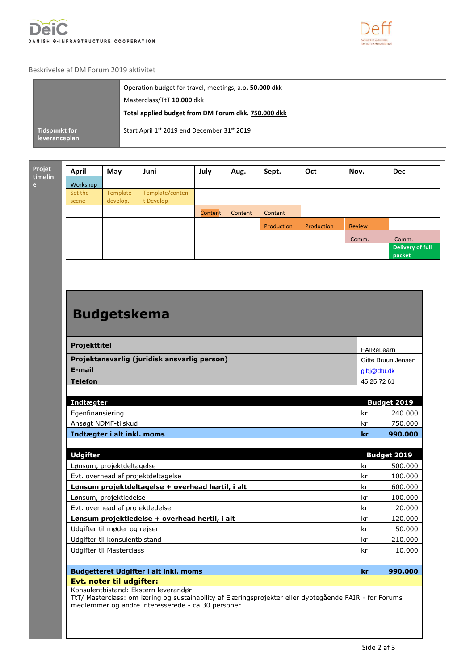



## Beskrivelse af DM Forum 2019 aktivitet

|                                | Operation budget for travel, meetings, a.o. 50.000 dkk<br>Masterclass/TtT 10.000 dkk |
|--------------------------------|--------------------------------------------------------------------------------------|
|                                | Total applied budget from DM Forum dkk. 750.000 dkk                                  |
| Tidspunkt for<br>leveranceplan | Start April 1st 2019 end December 31st 2019                                          |

**Projet timelin e**

| et.<br>lin. | <b>April</b>     | May                  | Juni                         | July    | Aug.    | Sept.      | Oct        | Nov.          | <b>Dec</b>                 |
|-------------|------------------|----------------------|------------------------------|---------|---------|------------|------------|---------------|----------------------------|
|             | Workshop         |                      |                              |         |         |            |            |               |                            |
|             | Set the<br>scene | Template<br>develop. | Template/conten<br>t Develop |         |         |            |            |               |                            |
|             |                  |                      |                              | Content | Content | Content    |            |               |                            |
|             |                  |                      |                              |         |         | Production | Production | <b>Review</b> |                            |
|             |                  |                      |                              |         |         |            |            | Comm.         | Comm.                      |
|             |                  |                      |                              |         |         |            |            |               | Delivery of full<br>packet |

## **Budgetskema**

| Projekttitel                                 | FAIReLearn         |
|----------------------------------------------|--------------------|
| Projektansvarlig (juridisk ansvarlig person) | Gitte Bruun Jensen |
| E-mail                                       | qibj@dtu.dk        |
| <b>Telefon</b>                               | 45 25 72 61        |

| Indtægter                  |     | <b>Budget 2019</b> |
|----------------------------|-----|--------------------|
| Egenfinansiering           | -kr | 240.000            |
| Ansøgt NDMF-tilskud        | kr  | 750.000            |
| Indtægter i alt inkl. moms | kr  | 990,000            |

| <b>Udgifter</b>                                   |    | <b>Budget 2019</b> |
|---------------------------------------------------|----|--------------------|
| Lønsum, projektdeltagelse                         | kr | 500.000            |
| Evt. overhead af projektdeltagelse                | kr | 100.000            |
| Lønsum projektdeltagelse + overhead hertil, i alt | kr | 600.000            |
| Lønsum, projektledelse                            | kr | 100.000            |
| Evt. overhead af projektledelse                   | kr | 20,000             |
| Lønsum projektledelse + overhead hertil, i alt    | kr | 120.000            |
| Udgifter til møder og rejser                      | kr | 50,000             |
| Udgifter til konsulentbistand                     | kr | 210,000            |
| Udgifter til Masterclass                          | kr | 10.000             |
|                                                   |    |                    |
| <b>Budgetteret Udgifter i alt inkl. moms</b>      | kr | 990.000            |
| Evt. noter til udgifter:                          |    |                    |

Konsulentbistand: Ekstern leverandør

TtT/ Masterclass: om læring og sustainability af Elæringsprojekter eller dybtegående FAIR - for Forums medlemmer og andre interesserede - ca 30 personer.